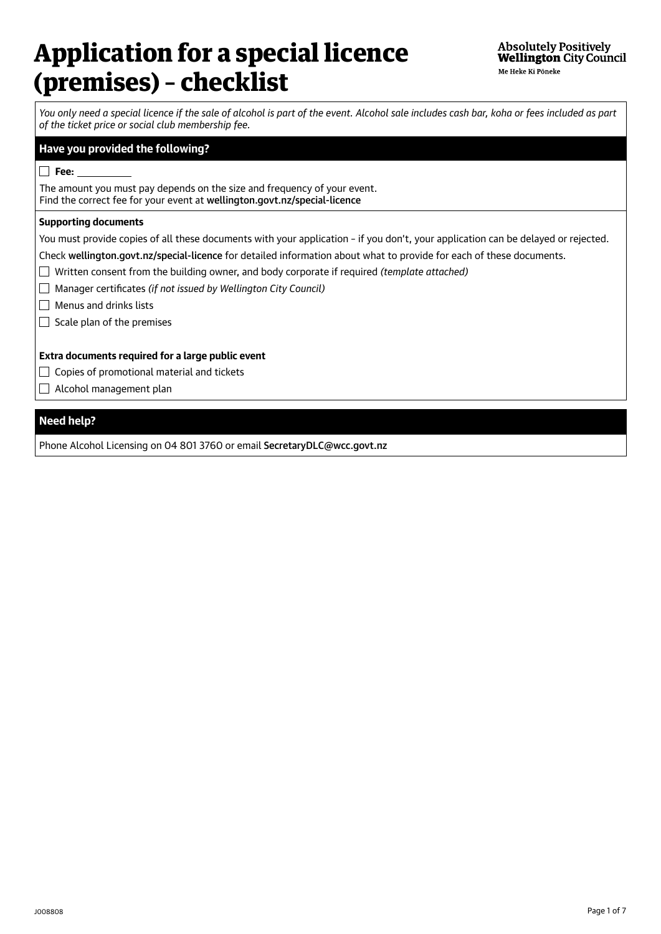# Application for a special licence (premises) – checklist

*You only need a special licence if the sale of alcohol is part of the event. Alcohol sale includes cash bar, koha or fees included as part of the ticket price or social club membership fee.*

## **Have you provided the following?**

#### **Fee:**

The amount you must pay depends on the size and frequency of your event. Find the correct fee for your event at [wellington.govt.nz/special-licence](http://wellington.govt.nz/special-licence)

### **Supporting documents**

You must provide copies of all these documents with your application – if you don't, your application can be delayed or rejected.

Check [wellington.govt.nz/special-licence](http://wellington.govt.nz/special-licence) for detailed information about what to provide for each of these documents.

Written consent from the building owner, and body corporate if required *(template attached)*

Manager certificates *(if not issued by Wellington City Council)*

 $\Box$  Menus and drinks lists

 $\Box$  Scale plan of the premises

## **Extra documents required for a large public event**

- $\Box$  Copies of promotional material and tickets
- Alcohol management plan

## **Need help?**

Phone Alcohol Licensing on 04 801 3760 or email [SecretaryDLC@wcc.govt.nz](mailto:SecretaryDLC%40wcc.govt.nz?subject=)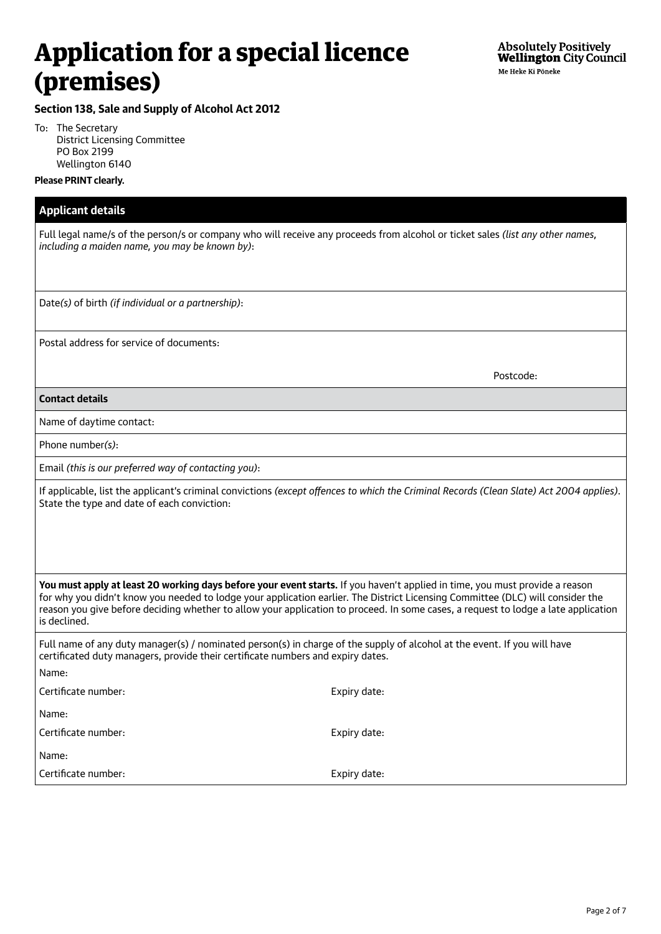# Application for a special licence (premises)

# **Section 138, Sale and Supply of Alcohol Act 2012**

To: The Secretary District Licensing Committee PO Box 2199 Wellington 6140

## **Please PRINT clearly.**

| <b>Applicant details</b>                                                                                                                                                                                                                                                                                                                                                                                            |              |  |  |  |  |
|---------------------------------------------------------------------------------------------------------------------------------------------------------------------------------------------------------------------------------------------------------------------------------------------------------------------------------------------------------------------------------------------------------------------|--------------|--|--|--|--|
| Full legal name/s of the person/s or company who will receive any proceeds from alcohol or ticket sales (list any other names,<br>including a maiden name, you may be known by):                                                                                                                                                                                                                                    |              |  |  |  |  |
|                                                                                                                                                                                                                                                                                                                                                                                                                     |              |  |  |  |  |
| Date(s) of birth (if individual or a partnership):                                                                                                                                                                                                                                                                                                                                                                  |              |  |  |  |  |
| Postal address for service of documents:                                                                                                                                                                                                                                                                                                                                                                            |              |  |  |  |  |
|                                                                                                                                                                                                                                                                                                                                                                                                                     | Postcode:    |  |  |  |  |
| <b>Contact details</b>                                                                                                                                                                                                                                                                                                                                                                                              |              |  |  |  |  |
| Name of daytime contact:                                                                                                                                                                                                                                                                                                                                                                                            |              |  |  |  |  |
| Phone number(s):                                                                                                                                                                                                                                                                                                                                                                                                    |              |  |  |  |  |
| Email (this is our preferred way of contacting you):                                                                                                                                                                                                                                                                                                                                                                |              |  |  |  |  |
| If applicable, list the applicant's criminal convictions (except offences to which the Criminal Records (Clean Slate) Act 2004 applies).<br>State the type and date of each conviction:                                                                                                                                                                                                                             |              |  |  |  |  |
| You must apply at least 20 working days before your event starts. If you haven't applied in time, you must provide a reason<br>for why you didn't know you needed to lodge your application earlier. The District Licensing Committee (DLC) will consider the<br>reason you give before deciding whether to allow your application to proceed. In some cases, a request to lodge a late application<br>is declined. |              |  |  |  |  |
| Full name of any duty manager(s) / nominated person(s) in charge of the supply of alcohol at the event. If you will have<br>certificated duty managers, provide their certificate numbers and expiry dates.                                                                                                                                                                                                         |              |  |  |  |  |
| Name:                                                                                                                                                                                                                                                                                                                                                                                                               |              |  |  |  |  |
| Certificate number:                                                                                                                                                                                                                                                                                                                                                                                                 | Expiry date: |  |  |  |  |
| Name:                                                                                                                                                                                                                                                                                                                                                                                                               |              |  |  |  |  |
| Certificate number:                                                                                                                                                                                                                                                                                                                                                                                                 | Expiry date: |  |  |  |  |
| Name:                                                                                                                                                                                                                                                                                                                                                                                                               |              |  |  |  |  |
| Certificate number:                                                                                                                                                                                                                                                                                                                                                                                                 | Expiry date: |  |  |  |  |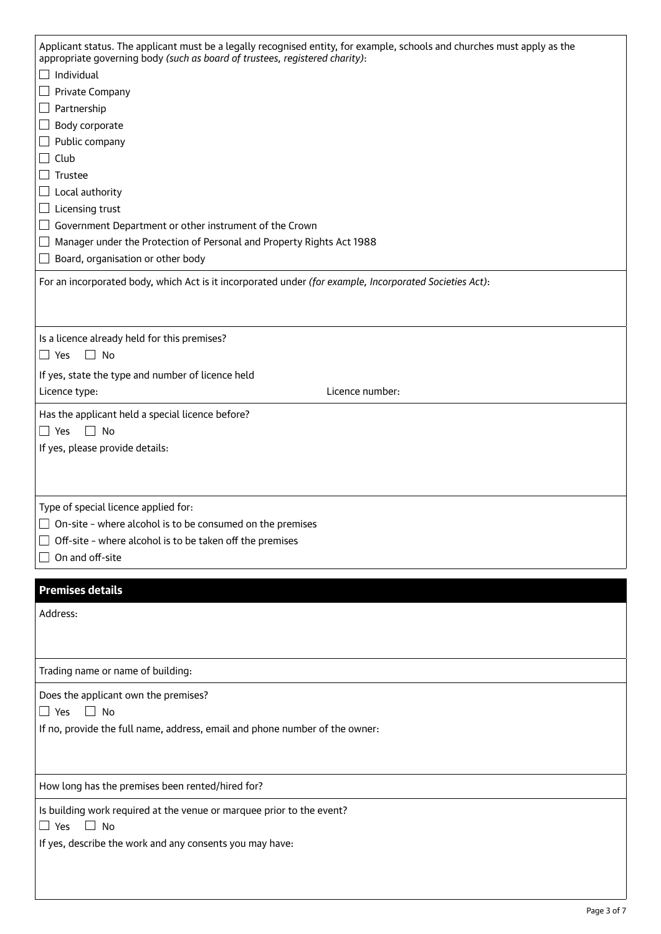| Applicant status. The applicant must be a legally recognised entity, for example, schools and churches must apply as the<br>appropriate governing body (such as board of trustees, registered charity): |  |  |  |  |
|---------------------------------------------------------------------------------------------------------------------------------------------------------------------------------------------------------|--|--|--|--|
| $\Box$ Individual                                                                                                                                                                                       |  |  |  |  |
| Private Company<br>$\overline{\phantom{0}}$                                                                                                                                                             |  |  |  |  |
| $\Box$ Partnership                                                                                                                                                                                      |  |  |  |  |
| Body corporate<br>$\Box$                                                                                                                                                                                |  |  |  |  |
| Public company<br>$\Box$                                                                                                                                                                                |  |  |  |  |
| Club<br>$\blacksquare$                                                                                                                                                                                  |  |  |  |  |
| Trustee<br>$\sim$                                                                                                                                                                                       |  |  |  |  |
| Local authority<br>$\overline{\phantom{a}}$                                                                                                                                                             |  |  |  |  |
|                                                                                                                                                                                                         |  |  |  |  |
| Licensing trust<br>$\overline{\phantom{0}}$                                                                                                                                                             |  |  |  |  |
| Government Department or other instrument of the Crown<br>$\overline{\phantom{a}}$<br>Manager under the Protection of Personal and Property Rights Act 1988                                             |  |  |  |  |
| $\mathcal{L}_{\mathcal{A}}$<br>Board, organisation or other body<br>$\sim$                                                                                                                              |  |  |  |  |
|                                                                                                                                                                                                         |  |  |  |  |
| For an incorporated body, which Act is it incorporated under (for example, Incorporated Societies Act):                                                                                                 |  |  |  |  |
|                                                                                                                                                                                                         |  |  |  |  |
|                                                                                                                                                                                                         |  |  |  |  |
| Is a licence already held for this premises?                                                                                                                                                            |  |  |  |  |
| $\Box$ No<br>$\Box$ Yes                                                                                                                                                                                 |  |  |  |  |
| If yes, state the type and number of licence held                                                                                                                                                       |  |  |  |  |
| Licence number:<br>Licence type:                                                                                                                                                                        |  |  |  |  |
| Has the applicant held a special licence before?                                                                                                                                                        |  |  |  |  |
|                                                                                                                                                                                                         |  |  |  |  |
|                                                                                                                                                                                                         |  |  |  |  |
| $\Box$ Yes<br>$\Box$ No                                                                                                                                                                                 |  |  |  |  |
| If yes, please provide details:                                                                                                                                                                         |  |  |  |  |
|                                                                                                                                                                                                         |  |  |  |  |
|                                                                                                                                                                                                         |  |  |  |  |
| Type of special licence applied for:                                                                                                                                                                    |  |  |  |  |
| On-site - where alcohol is to be consumed on the premises                                                                                                                                               |  |  |  |  |
| Off-site - where alcohol is to be taken off the premises                                                                                                                                                |  |  |  |  |
| On and off-site                                                                                                                                                                                         |  |  |  |  |
|                                                                                                                                                                                                         |  |  |  |  |
| <b>Premises details</b>                                                                                                                                                                                 |  |  |  |  |
| Address:                                                                                                                                                                                                |  |  |  |  |
|                                                                                                                                                                                                         |  |  |  |  |
|                                                                                                                                                                                                         |  |  |  |  |
|                                                                                                                                                                                                         |  |  |  |  |
| Trading name or name of building:                                                                                                                                                                       |  |  |  |  |
| Does the applicant own the premises?                                                                                                                                                                    |  |  |  |  |
| $\Box$ No<br>$\Box$ Yes                                                                                                                                                                                 |  |  |  |  |
| If no, provide the full name, address, email and phone number of the owner:                                                                                                                             |  |  |  |  |
|                                                                                                                                                                                                         |  |  |  |  |
|                                                                                                                                                                                                         |  |  |  |  |
|                                                                                                                                                                                                         |  |  |  |  |
| How long has the premises been rented/hired for?                                                                                                                                                        |  |  |  |  |
| Is building work required at the venue or marquee prior to the event?                                                                                                                                   |  |  |  |  |
| $\square$ Yes<br>$\Box$ No                                                                                                                                                                              |  |  |  |  |
| If yes, describe the work and any consents you may have:                                                                                                                                                |  |  |  |  |
|                                                                                                                                                                                                         |  |  |  |  |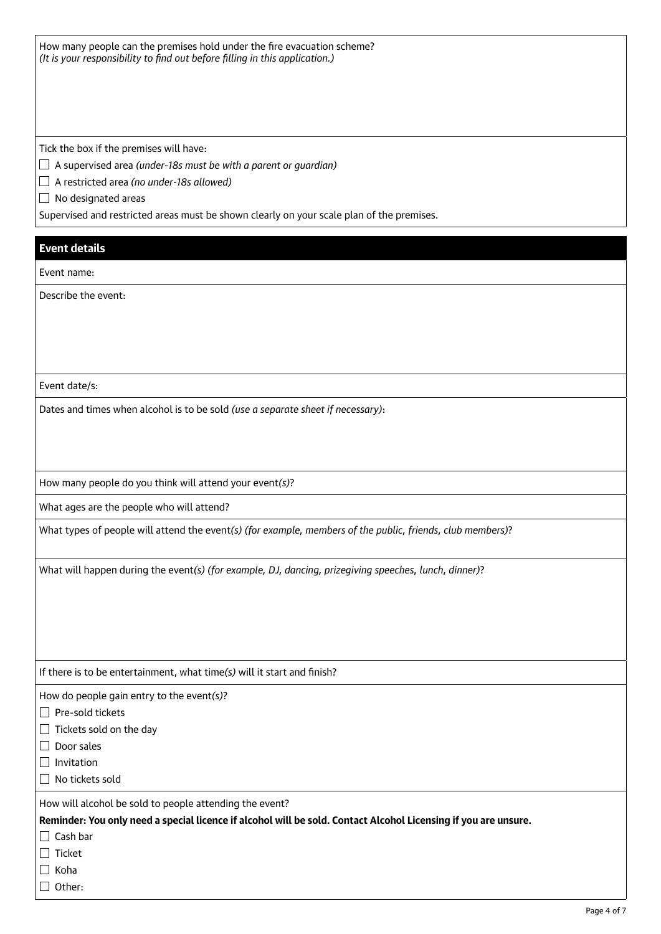How many people can the premises hold under the fire evacuation scheme? *(It is your responsibility to find out before filling in this application.)*

Tick the box if the premises will have:

A supervised area *(under-18s must be with a parent or guardian)*

A restricted area *(no under-18s allowed)*

 $\Box$  No designated areas

Supervised and restricted areas must be shown clearly on your scale plan of the premises.

### **Event details**

Event name:

Describe the event:

Event date/s:

Dates and times when alcohol is to be sold *(use a separate sheet if necessary)*:

How many people do you think will attend your event*(s)*?

What ages are the people who will attend?

What types of people will attend the event*(s) (for example, members of the public, friends, club members)*?

What will happen during the event*(s) (for example, DJ, dancing, prizegiving speeches, lunch, dinner)*?

If there is to be entertainment, what time*(s)* will it start and finish?

How do people gain entry to the event*(s)*?

- $\Box$  Pre-sold tickets
- $\Box$  Tickets sold on the day
- $\Box$  Door sales

 $\Box$  Invitation

 $\Box$  No tickets sold

How will alcohol be sold to people attending the event?

**Reminder: You only need a special licence if alcohol will be sold. Contact Alcohol Licensing if you are unsure.**

 $\Box$  Cash bar

 $\Box$  Ticket

 $\Box$  Koha

 $\Box$  Other: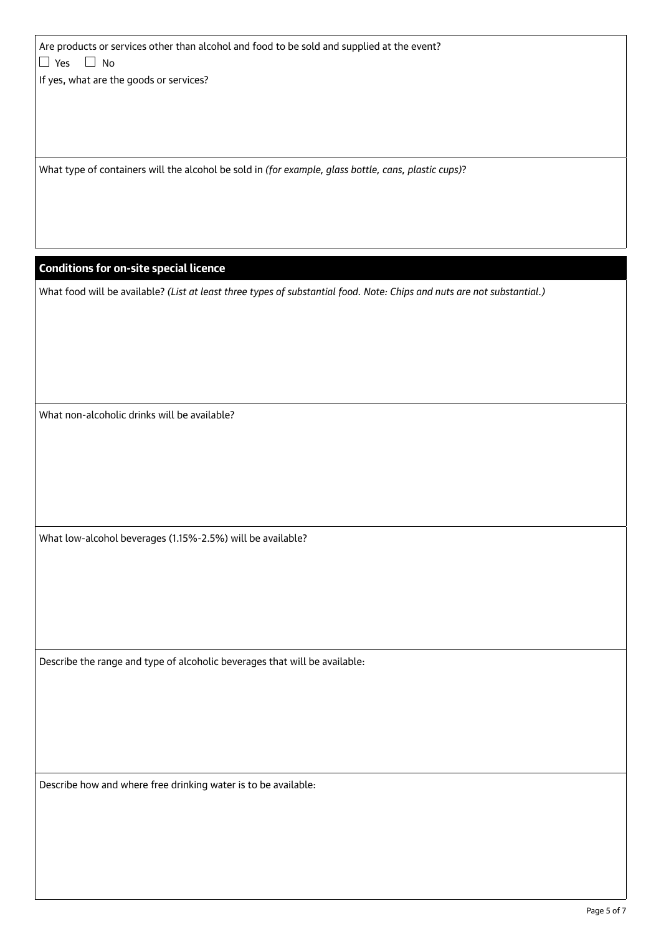Are products or services other than alcohol and food to be sold and supplied at the event?  $\Box$  Yes  $\Box$  No

If yes, what are the goods or services?

What type of containers will the alcohol be sold in *(for example, glass bottle, cans, plastic cups)*?

## **Conditions for on-site special licence**

What food will be available? *(List at least three types of substantial food. Note: Chips and nuts are not substantial.)*

What non-alcoholic drinks will be available?

What low-alcohol beverages (1.15%-2.5%) will be available?

Describe the range and type of alcoholic beverages that will be available:

Describe how and where free drinking water is to be available: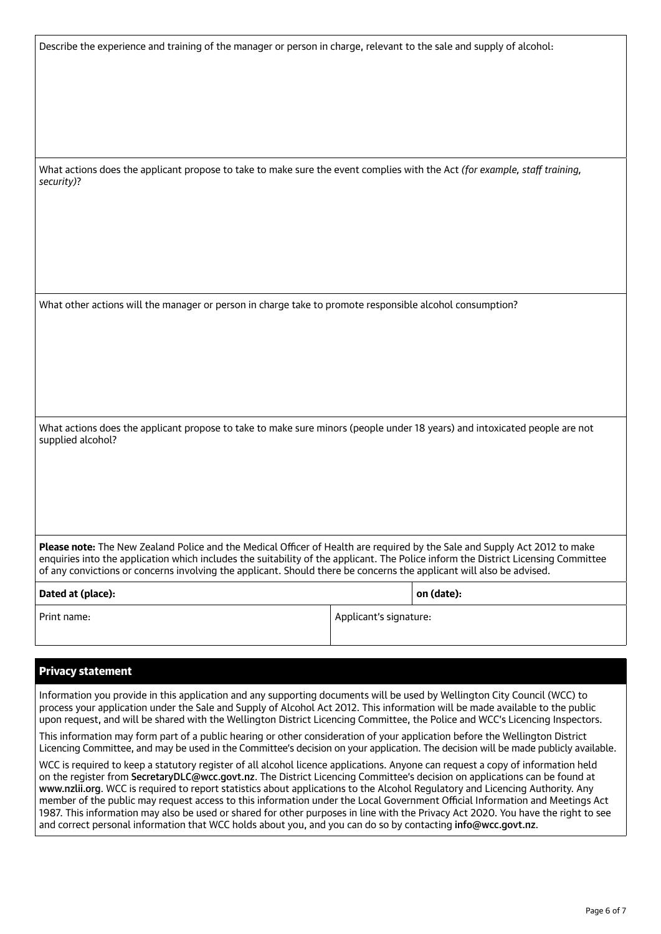Describe the experience and training of the manager or person in charge, relevant to the sale and supply of alcohol:

What actions does the applicant propose to take to make sure the event complies with the Act *(for example, staff training, security)*?

What other actions will the manager or person in charge take to promote responsible alcohol consumption?

What actions does the applicant propose to take to make sure minors (people under 18 years) and intoxicated people are not supplied alcohol?

**Please note:** The New Zealand Police and the Medical Officer of Health are required by the Sale and Supply Act 2012 to make enquiries into the application which includes the suitability of the applicant. The Police inform the District Licensing Committee of any convictions or concerns involving the applicant. Should there be concerns the applicant will also be advised.

| Dated at (place): |                        | on (date): |
|-------------------|------------------------|------------|
| Print name:       | Applicant's signature: |            |

## Privacy statement

Information you provide in this application and any supporting documents will be used by Wellington City Council (WCC) to process your application under the Sale and Supply of Alcohol Act 2012. This information will be made available to the public upon request, and will be shared with the Wellington District Licencing Committee, the Police and WCC's Licencing Inspectors.

This information may form part of a public hearing or other consideration of your application before the Wellington District Licencing Committee, and may be used in the Committee's decision on your application. The decision will be made publicly available.

WCC is required to keep a statutory register of all alcohol licence applications. Anyone can request a copy of information held on the register from [SecretaryDLC@wcc.govt.nz](mailto:SecretaryDLC%40wcc.govt.nz?subject=). The District Licencing Committee's decision on applications can be found at [www.nzlii.org](mailto:www.nzlii.org?subject=). WCC is required to report statistics about applications to the Alcohol Regulatory and Licencing Authority. Any member of the public may request access to this information under the Local Government Official Information and Meetings Act 1987. This information may also be used or shared for other purposes in line with the Privacy Act 2020. You have the right to see and correct personal information that WCC holds about you, and you can do so by contacting [info@wcc.govt.nz](mailto:info%40wcc.govt.nz?subject=).